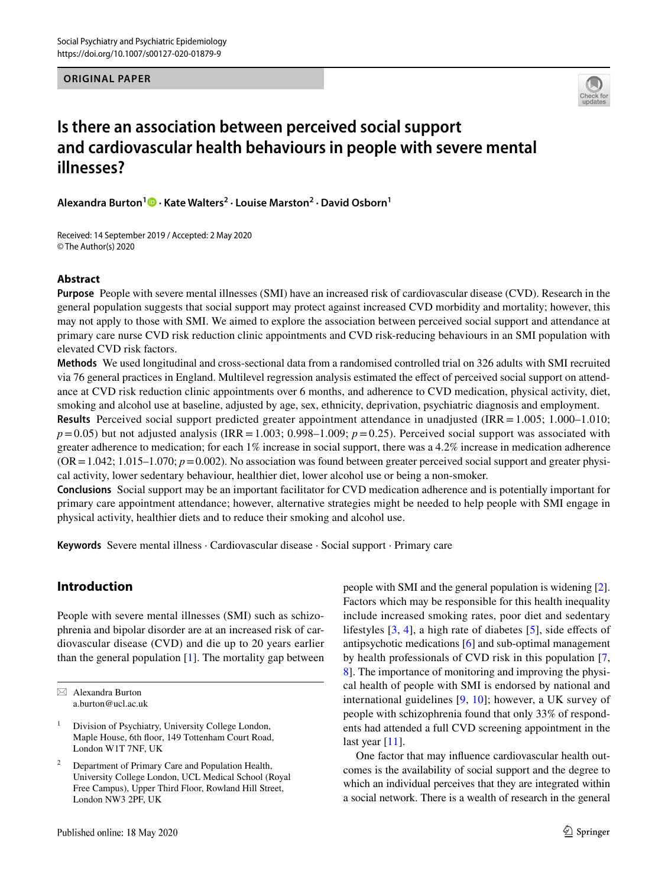**ORIGINAL PAPER**



# **Is there an association between perceived social support and cardiovascular health behaviours in people with severe mental illnesses?**

**Alexandra Burton1  [·](http://orcid.org/0000-0002-4433-3902) Kate Walters2 · Louise Marston2 · David Osborn1**

Received: 14 September 2019 / Accepted: 2 May 2020 © The Author(s) 2020

### **Abstract**

**Purpose** People with severe mental illnesses (SMI) have an increased risk of cardiovascular disease (CVD). Research in the general population suggests that social support may protect against increased CVD morbidity and mortality; however, this may not apply to those with SMI. We aimed to explore the association between perceived social support and attendance at primary care nurse CVD risk reduction clinic appointments and CVD risk-reducing behaviours in an SMI population with elevated CVD risk factors.

**Methods** We used longitudinal and cross-sectional data from a randomised controlled trial on 326 adults with SMI recruited via 76 general practices in England. Multilevel regression analysis estimated the efect of perceived social support on attendance at CVD risk reduction clinic appointments over 6 months, and adherence to CVD medication, physical activity, diet, smoking and alcohol use at baseline, adjusted by age, sex, ethnicity, deprivation, psychiatric diagnosis and employment.

**Results** Perceived social support predicted greater appointment attendance in unadjusted (IRR=1.005; 1.000–1.010;  $p=0.05$ ) but not adjusted analysis (IRR = 1.003; 0.998–1.009;  $p=0.25$ ). Perceived social support was associated with greater adherence to medication; for each 1% increase in social support, there was a 4.2% increase in medication adherence  $(OR = 1.042; 1.015-1.070; p = 0.002)$ . No association was found between greater perceived social support and greater physical activity, lower sedentary behaviour, healthier diet, lower alcohol use or being a non-smoker.

**Conclusions** Social support may be an important facilitator for CVD medication adherence and is potentially important for primary care appointment attendance; however, alternative strategies might be needed to help people with SMI engage in physical activity, healthier diets and to reduce their smoking and alcohol use.

**Keywords** Severe mental illness · Cardiovascular disease · Social support · Primary care

# **Introduction**

People with severe mental illnesses (SMI) such as schizophrenia and bipolar disorder are at an increased risk of cardiovascular disease (CVD) and die up to 20 years earlier than the general population [\[1](#page-9-0)]. The mortality gap between

people with SMI and the general population is widening [\[2](#page-9-1)]. Factors which may be responsible for this health inequality include increased smoking rates, poor diet and sedentary lifestyles  $[3, 4]$  $[3, 4]$  $[3, 4]$  $[3, 4]$ , a high rate of diabetes  $[5]$  $[5]$ , side effects of antipsychotic medications [[6\]](#page-9-5) and sub-optimal management by health professionals of CVD risk in this population [[7,](#page-9-6) [8](#page-9-7)]. The importance of monitoring and improving the physical health of people with SMI is endorsed by national and international guidelines [\[9,](#page-9-8) [10](#page-9-9)]; however, a UK survey of people with schizophrenia found that only 33% of respondents had attended a full CVD screening appointment in the last year [[11\]](#page-9-10).

One factor that may infuence cardiovascular health outcomes is the availability of social support and the degree to which an individual perceives that they are integrated within a social network. There is a wealth of research in the general

 $\boxtimes$  Alexandra Burton a.burton@ucl.ac.uk

Division of Psychiatry, University College London, Maple House, 6th foor, 149 Tottenham Court Road, London W1T 7NF, UK

<sup>&</sup>lt;sup>2</sup> Department of Primary Care and Population Health, University College London, UCL Medical School (Royal Free Campus), Upper Third Floor, Rowland Hill Street, London NW3 2PF, UK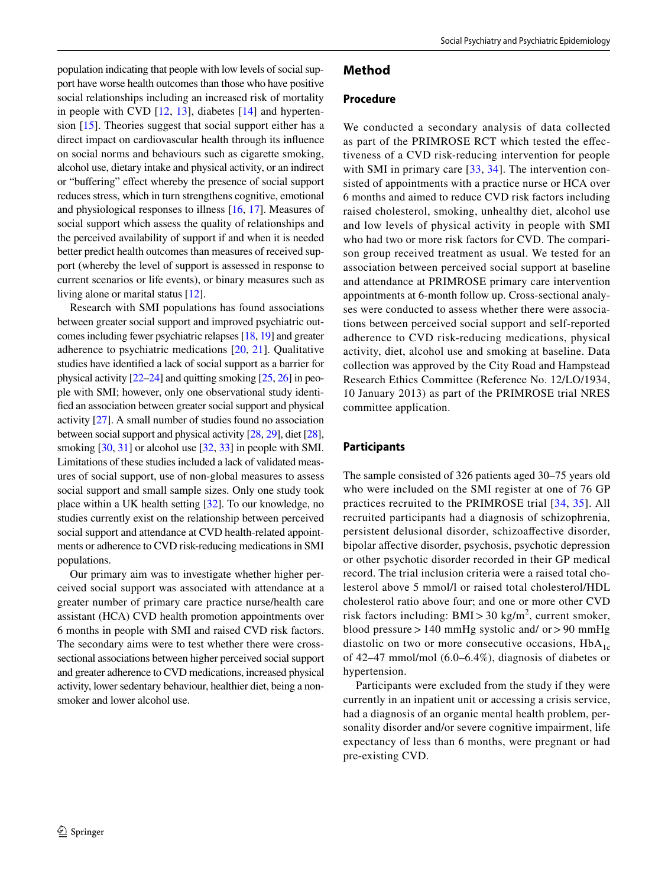population indicating that people with low levels of social support have worse health outcomes than those who have positive social relationships including an increased risk of mortality in people with CVD  $[12, 13]$  $[12, 13]$  $[12, 13]$  $[12, 13]$ , diabetes  $[14]$  $[14]$  $[14]$  and hypertension [\[15](#page-9-14)]. Theories suggest that social support either has a direct impact on cardiovascular health through its infuence on social norms and behaviours such as cigarette smoking, alcohol use, dietary intake and physical activity, or an indirect or "bufering" efect whereby the presence of social support reduces stress, which in turn strengthens cognitive, emotional and physiological responses to illness [[16,](#page-9-15) [17\]](#page-9-16). Measures of social support which assess the quality of relationships and the perceived availability of support if and when it is needed better predict health outcomes than measures of received support (whereby the level of support is assessed in response to current scenarios or life events), or binary measures such as living alone or marital status [\[12\]](#page-9-11).

Research with SMI populations has found associations between greater social support and improved psychiatric outcomes including fewer psychiatric relapses [\[18,](#page-9-17) [19](#page-9-18)] and greater adherence to psychiatric medications [\[20](#page-9-19), [21](#page-9-20)]. Qualitative studies have identifed a lack of social support as a barrier for physical activity [\[22](#page-9-21)[–24](#page-9-22)] and quitting smoking [[25](#page-9-23), [26](#page-9-24)] in people with SMI; however, only one observational study identifed an association between greater social support and physical activity [[27\]](#page-9-25). A small number of studies found no association between social support and physical activity [\[28,](#page-9-26) [29\]](#page-9-27), diet [\[28](#page-9-26)], smoking [\[30](#page-9-28), [31\]](#page-9-29) or alcohol use [[32,](#page-9-30) [33](#page-9-31)] in people with SMI. Limitations of these studies included a lack of validated measures of social support, use of non-global measures to assess social support and small sample sizes. Only one study took place within a UK health setting [[32](#page-9-30)]. To our knowledge, no studies currently exist on the relationship between perceived social support and attendance at CVD health-related appointments or adherence to CVD risk-reducing medications in SMI populations.

Our primary aim was to investigate whether higher perceived social support was associated with attendance at a greater number of primary care practice nurse/health care assistant (HCA) CVD health promotion appointments over 6 months in people with SMI and raised CVD risk factors. The secondary aims were to test whether there were crosssectional associations between higher perceived social support and greater adherence to CVD medications, increased physical activity, lower sedentary behaviour, healthier diet, being a nonsmoker and lower alcohol use.

# **Method**

### **Procedure**

We conducted a secondary analysis of data collected as part of the PRIMROSE RCT which tested the efectiveness of a CVD risk-reducing intervention for people with SMI in primary care [[33](#page-9-31), [34](#page-9-32)]. The intervention consisted of appointments with a practice nurse or HCA over 6 months and aimed to reduce CVD risk factors including raised cholesterol, smoking, unhealthy diet, alcohol use and low levels of physical activity in people with SMI who had two or more risk factors for CVD. The comparison group received treatment as usual. We tested for an association between perceived social support at baseline and attendance at PRIMROSE primary care intervention appointments at 6-month follow up. Cross-sectional analyses were conducted to assess whether there were associations between perceived social support and self-reported adherence to CVD risk-reducing medications, physical activity, diet, alcohol use and smoking at baseline. Data collection was approved by the City Road and Hampstead Research Ethics Committee (Reference No. 12/LO/1934, 10 January 2013) as part of the PRIMROSE trial NRES committee application.

### **Participants**

The sample consisted of 326 patients aged 30–75 years old who were included on the SMI register at one of 76 GP practices recruited to the PRIMROSE trial [[34](#page-9-32), [35\]](#page-10-0). All recruited participants had a diagnosis of schizophrenia, persistent delusional disorder, schizoafective disorder, bipolar afective disorder, psychosis, psychotic depression or other psychotic disorder recorded in their GP medical record. The trial inclusion criteria were a raised total cholesterol above 5 mmol/l or raised total cholesterol/HDL cholesterol ratio above four; and one or more other CVD risk factors including:  $BMI > 30 \text{ kg/m}^2$ , current smoker, blood pressure > 140 mmHg systolic and/ or > 90 mmHg diastolic on two or more consecutive occasions,  $HbA_{1c}$ of 42–47 mmol/mol (6.0–6.4%), diagnosis of diabetes or hypertension.

Participants were excluded from the study if they were currently in an inpatient unit or accessing a crisis service, had a diagnosis of an organic mental health problem, personality disorder and/or severe cognitive impairment, life expectancy of less than 6 months, were pregnant or had pre-existing CVD.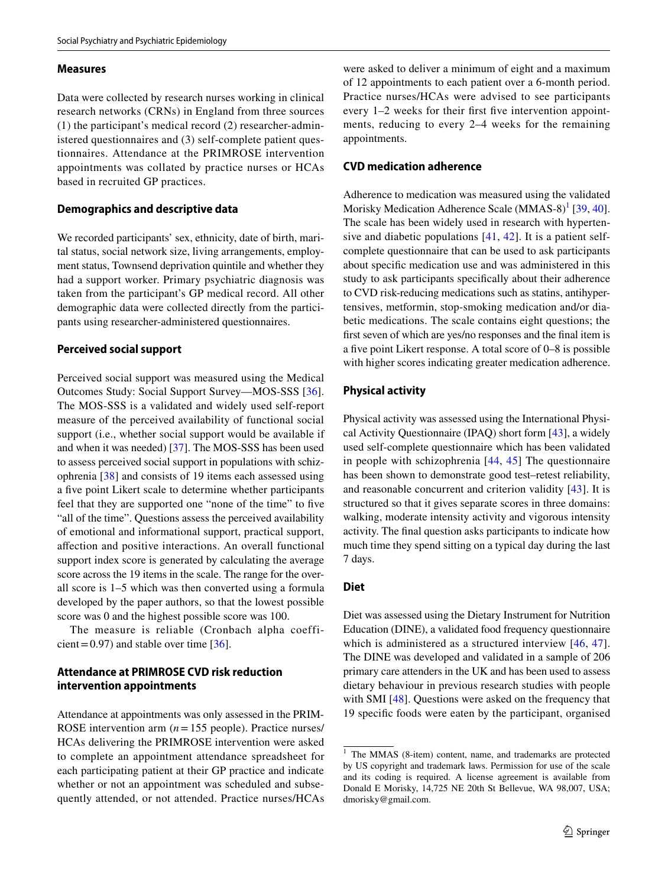#### **Measures**

Data were collected by research nurses working in clinical research networks (CRNs) in England from three sources (1) the participant's medical record (2) researcher-administered questionnaires and (3) self-complete patient questionnaires. Attendance at the PRIMROSE intervention appointments was collated by practice nurses or HCAs based in recruited GP practices.

#### **Demographics and descriptive data**

We recorded participants' sex, ethnicity, date of birth, marital status, social network size, living arrangements, employment status, Townsend deprivation quintile and whether they had a support worker. Primary psychiatric diagnosis was taken from the participant's GP medical record. All other demographic data were collected directly from the participants using researcher-administered questionnaires.

#### **Perceived social support**

Perceived social support was measured using the Medical Outcomes Study: Social Support Survey—MOS-SSS [\[36](#page-10-1)]. The MOS-SSS is a validated and widely used self-report measure of the perceived availability of functional social support (i.e., whether social support would be available if and when it was needed) [\[37](#page-10-2)]. The MOS-SSS has been used to assess perceived social support in populations with schizophrenia [\[38\]](#page-10-3) and consists of 19 items each assessed using a fve point Likert scale to determine whether participants feel that they are supported one "none of the time" to fve "all of the time". Questions assess the perceived availability of emotional and informational support, practical support, afection and positive interactions. An overall functional support index score is generated by calculating the average score across the 19 items in the scale. The range for the overall score is 1–5 which was then converted using a formula developed by the paper authors, so that the lowest possible score was 0 and the highest possible score was 100.

The measure is reliable (Cronbach alpha coefficient =  $0.97$ ) and stable over time [ $36$ ].

# **Attendance at PRIMROSE CVD risk reduction intervention appointments**

Attendance at appointments was only assessed in the PRIM-ROSE intervention arm (*n*=155 people). Practice nurses/ HCAs delivering the PRIMROSE intervention were asked to complete an appointment attendance spreadsheet for each participating patient at their GP practice and indicate whether or not an appointment was scheduled and subsequently attended, or not attended. Practice nurses/HCAs

were asked to deliver a minimum of eight and a maximum of 12 appointments to each patient over a 6-month period. Practice nurses/HCAs were advised to see participants every 1–2 weeks for their frst fve intervention appointments, reducing to every 2–4 weeks for the remaining appointments.

#### **CVD medication adherence**

Adherence to medication was measured using the validated Morisky Medication Adherence Scale  $(MMAS-8)^1$  $(MMAS-8)^1$  [[39,](#page-10-4) [40](#page-10-5)]. The scale has been widely used in research with hypertensive and diabetic populations [\[41](#page-10-6), [42](#page-10-7)]. It is a patient selfcomplete questionnaire that can be used to ask participants about specifc medication use and was administered in this study to ask participants specifcally about their adherence to CVD risk-reducing medications such as statins, antihypertensives, metformin, stop-smoking medication and/or diabetic medications. The scale contains eight questions; the frst seven of which are yes/no responses and the fnal item is a five point Likert response. A total score of 0–8 is possible with higher scores indicating greater medication adherence.

#### **Physical activity**

Physical activity was assessed using the International Physical Activity Questionnaire (IPAQ) short form [\[43](#page-10-8)], a widely used self-complete questionnaire which has been validated in people with schizophrenia [\[44,](#page-10-9) [45](#page-10-10)] The questionnaire has been shown to demonstrate good test–retest reliability, and reasonable concurrent and criterion validity [\[43\]](#page-10-8). It is structured so that it gives separate scores in three domains: walking, moderate intensity activity and vigorous intensity activity. The fnal question asks participants to indicate how much time they spend sitting on a typical day during the last 7 days.

#### **Diet**

Diet was assessed using the Dietary Instrument for Nutrition Education (DINE), a validated food frequency questionnaire which is administered as a structured interview [[46](#page-10-11), [47](#page-10-12)]. The DINE was developed and validated in a sample of 206 primary care attenders in the UK and has been used to assess dietary behaviour in previous research studies with people with SMI [\[48](#page-10-13)]. Questions were asked on the frequency that 19 specifc foods were eaten by the participant, organised

<span id="page-2-0"></span><sup>&</sup>lt;sup>1</sup> The MMAS (8-item) content, name, and trademarks are protected by US copyright and trademark laws. Permission for use of the scale and its coding is required. A license agreement is available from Donald E Morisky, 14,725 NE 20th St Bellevue, WA 98,007, USA; dmorisky@gmail.com.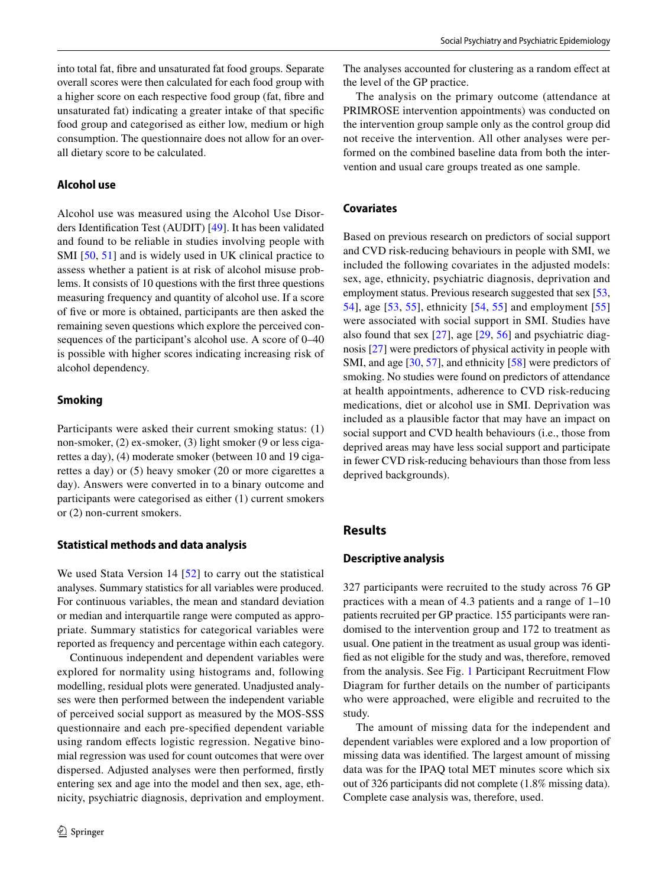into total fat, fbre and unsaturated fat food groups. Separate overall scores were then calculated for each food group with a higher score on each respective food group (fat, fbre and unsaturated fat) indicating a greater intake of that specifc food group and categorised as either low, medium or high consumption. The questionnaire does not allow for an overall dietary score to be calculated.

### **Alcohol use**

Alcohol use was measured using the Alcohol Use Disorders Identifcation Test (AUDIT) [[49\]](#page-10-14). It has been validated and found to be reliable in studies involving people with SMI [\[50](#page-10-15), [51\]](#page-10-16) and is widely used in UK clinical practice to assess whether a patient is at risk of alcohol misuse problems. It consists of 10 questions with the frst three questions measuring frequency and quantity of alcohol use. If a score of fve or more is obtained, participants are then asked the remaining seven questions which explore the perceived consequences of the participant's alcohol use. A score of 0–40 is possible with higher scores indicating increasing risk of alcohol dependency.

#### **Smoking**

Participants were asked their current smoking status: (1) non-smoker, (2) ex-smoker, (3) light smoker (9 or less cigarettes a day), (4) moderate smoker (between 10 and 19 cigarettes a day) or (5) heavy smoker (20 or more cigarettes a day). Answers were converted in to a binary outcome and participants were categorised as either (1) current smokers or (2) non-current smokers.

#### **Statistical methods and data analysis**

We used Stata Version 14 [\[52\]](#page-10-17) to carry out the statistical analyses. Summary statistics for all variables were produced. For continuous variables, the mean and standard deviation or median and interquartile range were computed as appropriate. Summary statistics for categorical variables were reported as frequency and percentage within each category.

Continuous independent and dependent variables were explored for normality using histograms and, following modelling, residual plots were generated. Unadjusted analyses were then performed between the independent variable of perceived social support as measured by the MOS-SSS questionnaire and each pre-specifed dependent variable using random efects logistic regression. Negative binomial regression was used for count outcomes that were over dispersed. Adjusted analyses were then performed, frstly entering sex and age into the model and then sex, age, ethnicity, psychiatric diagnosis, deprivation and employment.

The analyses accounted for clustering as a random efect at the level of the GP practice.

The analysis on the primary outcome (attendance at PRIMROSE intervention appointments) was conducted on the intervention group sample only as the control group did not receive the intervention. All other analyses were performed on the combined baseline data from both the intervention and usual care groups treated as one sample.

#### **Covariates**

Based on previous research on predictors of social support and CVD risk-reducing behaviours in people with SMI, we included the following covariates in the adjusted models: sex, age, ethnicity, psychiatric diagnosis, deprivation and employment status. Previous research suggested that sex [[53,](#page-10-18) [54](#page-10-19)], age [[53](#page-10-18), [55\]](#page-10-20), ethnicity [\[54,](#page-10-19) [55](#page-10-20)] and employment [[55\]](#page-10-20) were associated with social support in SMI. Studies have also found that sex [[27\]](#page-9-25), age [\[29,](#page-9-27) [56\]](#page-10-21) and psychiatric diagnosis [\[27\]](#page-9-25) were predictors of physical activity in people with SMI, and age [\[30](#page-9-28), [57](#page-10-22)], and ethnicity [[58](#page-10-23)] were predictors of smoking. No studies were found on predictors of attendance at health appointments, adherence to CVD risk-reducing medications, diet or alcohol use in SMI. Deprivation was included as a plausible factor that may have an impact on social support and CVD health behaviours (i.e., those from deprived areas may have less social support and participate in fewer CVD risk-reducing behaviours than those from less deprived backgrounds).

## **Results**

#### **Descriptive analysis**

327 participants were recruited to the study across 76 GP practices with a mean of 4.3 patients and a range of 1–10 patients recruited per GP practice. 155 participants were randomised to the intervention group and 172 to treatment as usual. One patient in the treatment as usual group was identifed as not eligible for the study and was, therefore, removed from the analysis. See Fig. [1](#page-4-0) Participant Recruitment Flow Diagram for further details on the number of participants who were approached, were eligible and recruited to the study.

The amount of missing data for the independent and dependent variables were explored and a low proportion of missing data was identifed. The largest amount of missing data was for the IPAQ total MET minutes score which six out of 326 participants did not complete (1.8% missing data). Complete case analysis was, therefore, used.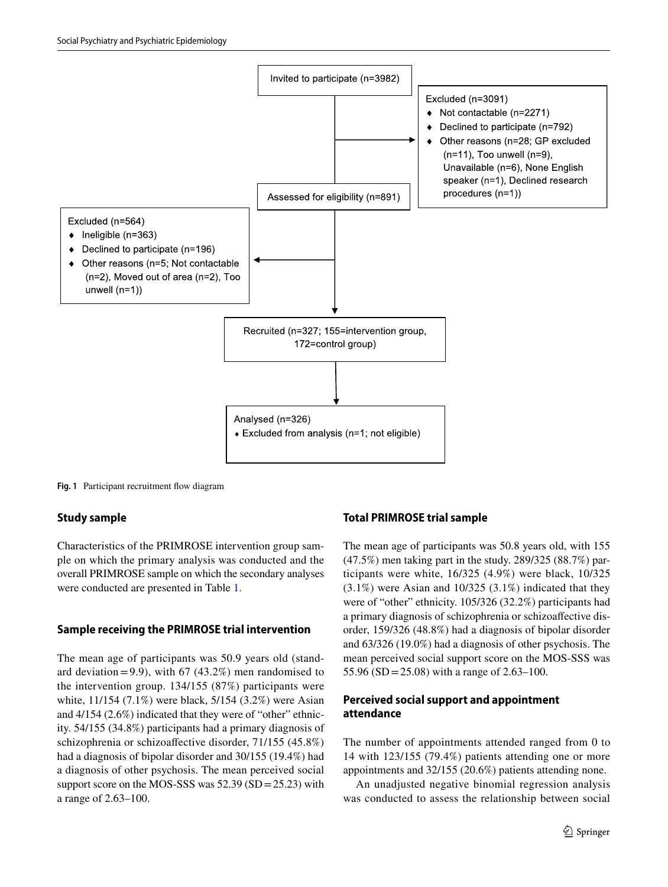

<span id="page-4-0"></span>**Fig. 1** Participant recruitment fow diagram

### **Study sample**

Characteristics of the PRIMROSE intervention group sample on which the primary analysis was conducted and the overall PRIMROSE sample on which the secondary analyses were conducted are presented in Table [1](#page-5-0).

### **Sample receiving the PRIMROSE trial intervention**

The mean age of participants was 50.9 years old (standard deviation = 9.9), with 67 (43.2%) men randomised to the intervention group. 134/155 (87%) participants were white, 11/154 (7.1%) were black, 5/154 (3.2%) were Asian and 4/154 (2.6%) indicated that they were of "other" ethnicity. 54/155 (34.8%) participants had a primary diagnosis of schizophrenia or schizoaffective disorder, 71/155 (45.8%) had a diagnosis of bipolar disorder and 30/155 (19.4%) had a diagnosis of other psychosis. The mean perceived social support score on the MOS-SSS was  $52.39$  (SD = 25.23) with a range of 2.63–100.

### **Total PRIMROSE trial sample**

The mean age of participants was 50.8 years old, with 155 (47.5%) men taking part in the study. 289/325 (88.7%) participants were white, 16/325 (4.9%) were black, 10/325 (3.1%) were Asian and 10/325 (3.1%) indicated that they were of "other" ethnicity. 105/326 (32.2%) participants had a primary diagnosis of schizophrenia or schizoafective disorder, 159/326 (48.8%) had a diagnosis of bipolar disorder and 63/326 (19.0%) had a diagnosis of other psychosis. The mean perceived social support score on the MOS-SSS was 55.96 (SD=25.08) with a range of 2.63–100.

# **Perceived social support and appointment attendance**

The number of appointments attended ranged from 0 to 14 with 123/155 (79.4%) patients attending one or more appointments and 32/155 (20.6%) patients attending none.

An unadjusted negative binomial regression analysis was conducted to assess the relationship between social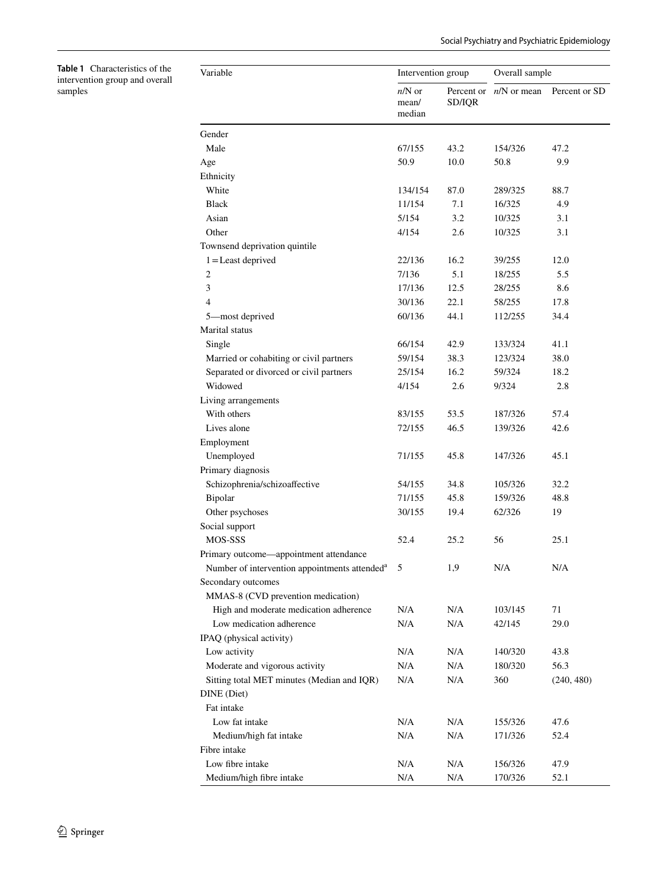<span id="page-5-0"></span>**Table 1** Characteristics of the intervention group and overall samples

| Variable                                                  | Intervention group          |                      | Overall sample |               |
|-----------------------------------------------------------|-----------------------------|----------------------|----------------|---------------|
|                                                           | $n/N$ or<br>mean/<br>median | Percent or<br>SD/IQR | $n/N$ or mean  | Percent or SD |
| Gender                                                    |                             |                      |                |               |
| Male                                                      | 67/155                      | 43.2                 | 154/326        | 47.2          |
| Age                                                       | 50.9                        | 10.0                 | 50.8           | 9.9           |
| Ethnicity                                                 |                             |                      |                |               |
| White                                                     | 134/154                     | 87.0                 | 289/325        | 88.7          |
| <b>Black</b>                                              | 11/154                      | 7.1                  | 16/325         | 4.9           |
| Asian                                                     | 5/154                       | 3.2                  | 10/325         | 3.1           |
| Other                                                     | 4/154                       | 2.6                  | 10/325         | 3.1           |
| Townsend deprivation quintile                             |                             |                      |                |               |
| $1 =$ Least deprived                                      | 22/136                      | 16.2                 | 39/255         | 12.0          |
| $\overline{c}$                                            | 7/136                       | 5.1                  | 18/255         | 5.5           |
| 3                                                         | 17/136                      | 12.5                 | 28/255         | 8.6           |
| $\overline{4}$                                            | 30/136                      | 22.1                 | 58/255         | 17.8          |
| 5-most deprived                                           | 60/136                      | 44.1                 | 112/255        | 34.4          |
| Marital status                                            |                             |                      |                |               |
| Single                                                    | 66/154                      | 42.9                 | 133/324        | 41.1          |
| Married or cohabiting or civil partners                   | 59/154                      | 38.3                 | 123/324        | 38.0          |
| Separated or divorced or civil partners                   | 25/154                      | 16.2                 | 59/324         | 18.2          |
| Widowed                                                   | 4/154                       | 2.6                  | 9/324          | 2.8           |
| Living arrangements                                       |                             |                      |                |               |
| With others                                               | 83/155                      | 53.5                 | 187/326        | 57.4          |
| Lives alone                                               | 72/155                      | 46.5                 | 139/326        | 42.6          |
| Employment                                                |                             |                      |                |               |
| Unemployed                                                | 71/155                      | 45.8                 | 147/326        | 45.1          |
| Primary diagnosis                                         |                             |                      |                |               |
| Schizophrenia/schizoaffective                             | 54/155                      | 34.8                 | 105/326        | 32.2          |
| Bipolar                                                   | 71/155                      | 45.8                 | 159/326        | 48.8          |
|                                                           | 30/155                      | 19.4                 | 62/326         | 19            |
| Other psychoses<br>Social support                         |                             |                      |                |               |
| MOS-SSS                                                   | 52.4                        |                      | 56             |               |
|                                                           |                             | 25.2                 |                | 25.1          |
| Primary outcome-appointment attendance                    |                             |                      |                |               |
| Number of intervention appointments attended <sup>a</sup> | 5                           | 1,9                  | N/A            | N/A           |
| Secondary outcomes                                        |                             |                      |                |               |
| MMAS-8 (CVD prevention medication)                        |                             |                      |                |               |
| High and moderate medication adherence                    | N/A                         | N/A                  | 103/145        | 71            |
| Low medication adherence                                  | N/A                         | N/A                  | 42/145         | 29.0          |
| IPAQ (physical activity)                                  |                             |                      |                |               |
| Low activity                                              | N/A                         | N/A                  | 140/320        | 43.8          |
| Moderate and vigorous activity                            | N/A                         | N/A                  | 180/320        | 56.3          |
| Sitting total MET minutes (Median and IQR)                | N/A                         | N/A                  | 360            | (240, 480)    |
| DINE (Diet)                                               |                             |                      |                |               |
| Fat intake                                                |                             |                      |                |               |
| Low fat intake                                            | N/A                         | N/A                  | 155/326        | 47.6          |
| Medium/high fat intake                                    | N/A                         | N/A                  | 171/326        | 52.4          |
| Fibre intake                                              |                             |                      |                |               |
| Low fibre intake                                          | N/A                         | N/A                  | 156/326        | 47.9          |
| Medium/high fibre intake                                  | N/A                         | N/A                  | 170/326        | 52.1          |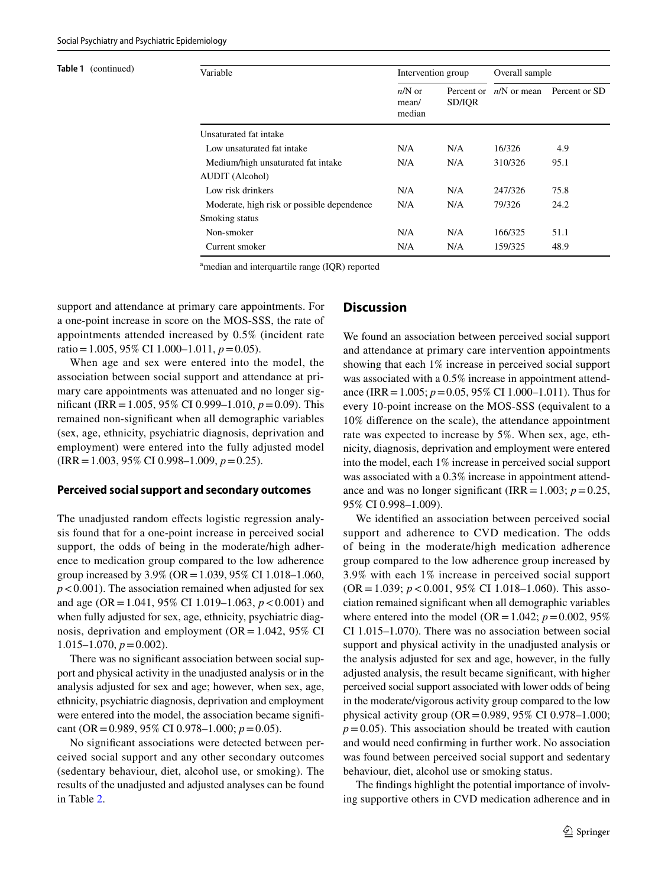| Table 1 (continued) | Variable                                   | Intervention group          |                      | Overall sample |               |
|---------------------|--------------------------------------------|-----------------------------|----------------------|----------------|---------------|
|                     |                                            | $n/N$ or<br>mean/<br>median | Percent or<br>SD/IOR | $n/N$ or mean  | Percent or SD |
|                     | Unsaturated fat intake                     |                             |                      |                |               |
|                     | Low unsaturated fat intake                 | N/A                         | N/A                  | 16/326         | 4.9           |
|                     | Medium/high unsaturated fat intake         | N/A                         | N/A                  | 310/326        | 95.1          |
|                     | AUDIT (Alcohol)                            |                             |                      |                |               |
|                     | Low risk drinkers                          | N/A                         | N/A                  | 247/326        | 75.8          |
|                     | Moderate, high risk or possible dependence | N/A                         | N/A                  | 79/326         | 24.2          |
|                     | Smoking status                             |                             |                      |                |               |
|                     | Non-smoker                                 | N/A                         | N/A                  | 166/325        | 51.1          |
|                     | Current smoker                             | N/A                         | N/A                  | 159/325        | 48.9          |

<sup>a</sup>median and interquartile range (IQR) reported

support and attendance at primary care appointments. For a one-point increase in score on the MOS-SSS, the rate of appointments attended increased by 0.5% (incident rate ratio=1.005, 95% CI 1.000–1.011, *p*=0.05).

When age and sex were entered into the model, the association between social support and attendance at primary care appointments was attenuated and no longer signifcant (IRR=1.005, 95% CI 0.999–1.010, *p*=0.09). This remained non-signifcant when all demographic variables (sex, age, ethnicity, psychiatric diagnosis, deprivation and employment) were entered into the fully adjusted model (IRR=1.003, 95% CI 0.998–1.009, *p*=0.25).

#### **Perceived social support and secondary outcomes**

The unadjusted random effects logistic regression analysis found that for a one-point increase in perceived social support, the odds of being in the moderate/high adherence to medication group compared to the low adherence group increased by 3.9% (OR=1.039, 95% CI 1.018–1.060,  $p < 0.001$ ). The association remained when adjusted for sex and age (OR=1.041, 95% CI 1.019–1.063, *p*<0.001) and when fully adjusted for sex, age, ethnicity, psychiatric diagnosis, deprivation and employment ( $OR = 1.042$ , 95% CI  $1.015-1.070, p=0.002$ .

There was no signifcant association between social support and physical activity in the unadjusted analysis or in the analysis adjusted for sex and age; however, when sex, age, ethnicity, psychiatric diagnosis, deprivation and employment were entered into the model, the association became signifcant (OR=0.989, 95% CI 0.978–1.000; *p*=0.05).

No signifcant associations were detected between perceived social support and any other secondary outcomes (sedentary behaviour, diet, alcohol use, or smoking). The results of the unadjusted and adjusted analyses can be found in Table [2](#page-7-0).

#### **Discussion**

We found an association between perceived social support and attendance at primary care intervention appointments showing that each 1% increase in perceived social support was associated with a 0.5% increase in appointment attendance (IRR = 1.005;  $p = 0.05$ , 95% CI 1.000–1.011). Thus for every 10-point increase on the MOS-SSS (equivalent to a 10% diference on the scale), the attendance appointment rate was expected to increase by 5%. When sex, age, ethnicity, diagnosis, deprivation and employment were entered into the model, each 1% increase in perceived social support was associated with a 0.3% increase in appointment attendance and was no longer significant (IRR =  $1.003$ ;  $p = 0.25$ , 95% CI 0.998–1.009).

We identifed an association between perceived social support and adherence to CVD medication. The odds of being in the moderate/high medication adherence group compared to the low adherence group increased by 3.9% with each 1% increase in perceived social support (OR=1.039; *p*<0.001, 95% CI 1.018–1.060). This association remained signifcant when all demographic variables where entered into the model (OR = 1.042;  $p = 0.002$ , 95% CI 1.015–1.070). There was no association between social support and physical activity in the unadjusted analysis or the analysis adjusted for sex and age, however, in the fully adjusted analysis, the result became signifcant, with higher perceived social support associated with lower odds of being in the moderate/vigorous activity group compared to the low physical activity group (OR=0.989, 95% CI 0.978–1.000;  $p=0.05$ ). This association should be treated with caution and would need confrming in further work. No association was found between perceived social support and sedentary behaviour, diet, alcohol use or smoking status.

The fndings highlight the potential importance of involving supportive others in CVD medication adherence and in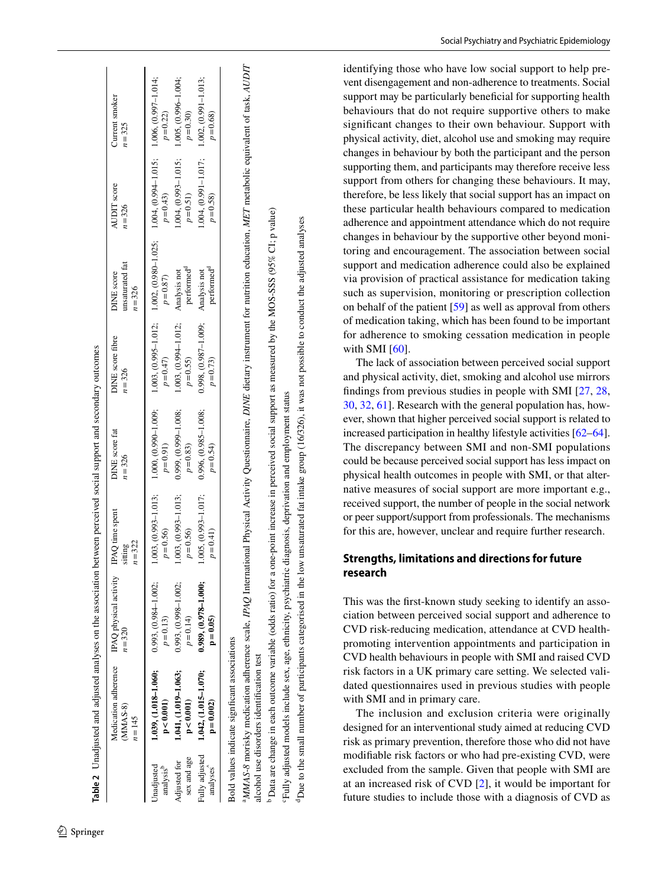|                                     | (MMAS-8)<br>$n = 145$                     | Medication adherence IPAQ physical activity<br>$n = 320$ | IPAQ time spent<br>$n = 322$<br>sitting | DINE score fat<br>$n = 326$              | <b>DINE</b> score fibre<br>$n = 326$ | unsaturated fat<br><b>DINE</b> score<br>$n = 326$                                                                                                                             | <b>AUDIT</b> score<br>$n = 326$ | Current smoker<br>$n = 325$ |
|-------------------------------------|-------------------------------------------|----------------------------------------------------------|-----------------------------------------|------------------------------------------|--------------------------------------|-------------------------------------------------------------------------------------------------------------------------------------------------------------------------------|---------------------------------|-----------------------------|
| Jnadjusted<br>analysis <sup>b</sup> | $1.039, (1.018 - 1.060;$<br>$p < 0.001$ ) | $0.993, (0.984 - 1.002;$<br>$p=0.13$                     | $1.003, (0.993 - 1.013;$<br>$p = 0.56$  | 1.000, $(0.990 - 1.009)$ ;<br>$p = 0.91$ | $p=0.47$                             | $1012$ ; $1012$ ; $1012$ ; $1002$ , $0000$ ; $0.0001$ , $0.0001$ ; $0.0000$ ; $0.0000$ ; $0.0000$ ; $0.0000$ ; $0.0000$ ; $0.00000$ ; $0.000000$ ; $0.00000000$<br>$p = 0.87$ | $p=0.43$                        | $p = 0.22$                  |
| sex and age                         | .041, (1.019-1.063;                       | $0.993, 0.998 - 1.002;$                                  | $1.003, (0.993 - 1.013;$                | $0.999, (0.999 - 1.008;$                 | 1.003, $(0.994 - 1.012)$ ;           | performed <sup>a</sup>                                                                                                                                                        | $.004, (0.993 - 1.015;$         | 1.005, $(0.996 - 1.004)$    |
| Adjusted for                        | $p < 0.001$ )                             | $p=0.14$                                                 | $p=0.56$                                | $p = 0.83$                               | $p=0.55$ )                           | Analysis not                                                                                                                                                                  | $p=0.51$ )                      | $p=0.30$                    |
| Fully adjusted                      | $1.042, (1.015 - 1.070;$                  | $0.989, 0.978 - 1.000;$                                  | $1.005, (0.993 - 1.017;$                | $0.996, (0.985 - 1.008;$                 | $0.998, 0.987 - 1.009;$              | performed <sup>a</sup>                                                                                                                                                        | $.004, (0.991 - 1.017)$         | $1.002, (0.991 - 1.013;$    |
| analyses <sup>"</sup>               | $p = 0.002$                               | $p = 0.05$                                               | $p = 0.41$                              | $p = 0.54$                               | $p=0.73$                             | Analysis not                                                                                                                                                                  | $p = 0.58$                      | $p = 0.68$                  |

<span id="page-7-0"></span> $\stackrel{\mathbb{Z}}{=}$  Springer

Data are change in each outcome variable (odds ratio) for a one-point increase in perceived social support as measured by the MOS-SSS (95% CI; p value) Data are change in each outcome variable (odds ratio) for a one-point increase in perceived social support as measured by the MOS-SSS (95% CI; p value) Due to the small number of participants categorised in the low unsaturated fat intake group (16/326), it was not possible to conduct the adjusted analyses dDue to the small number of participants categorised in the low unsaturated fat intake group (16/326), it was not possible to conduct the adjusted analyses Fully adjusted models include sex, age, ethnicity, psychiatric diagnosis, deprivation and employment status cFully adjusted models include sex, age, ethnicity, psychiatric diagnosis, deprivation and employment status alcohol use disorders identifcation test alcohol use disorders identification test

identifying those who have low social support to help pre vent disengagement and non-adherence to treatments. Social support may be particularly beneficial for supporting health behaviours that do not require supportive others to make signifcant changes to their own behaviour. Support with physical activity, diet, alcohol use and smoking may require changes in behaviour by both the participant and the person supporting them, and participants may therefore receive less support from others for changing these behaviours. It may, therefore, be less likely that social support has an impact on these particular health behaviours compared to medication adherence and appointment attendance which do not require changes in behaviour by the supportive other beyond moni toring and encouragement. The association between social support and medication adherence could also be explained via provision of practical assistance for medication taking such as supervision, monitoring or prescription collection on behalf of the patient [\[59](#page-10-24)] as well as approval from others of medication taking, which has been found to be important for adherence to smoking cessation medication in people with SMI  $[60]$  $[60]$ . The lack of association between perceived social support

and physical activity, diet, smoking and alcohol use mirrors fndings from previous studies in people with SMI [\[27](#page-9-25), [28,](#page-9-26) [30](#page-9-28), [32](#page-9-30), [61](#page-10-26)]. Research with the general population has, how ever, shown that higher perceived social support is related to increased participation in healthy lifestyle activities [[62](#page-10-27) –[64](#page-10-28)]. The discrepancy between SMI and non-SMI populations could be because perceived social support has less impact on physical health outcomes in people with SMI, or that alter native measures of social support are more important e.g., received support, the number of people in the social network or peer support/support from professionals. The mechanisms for this are, however, unclear and require further research.

# **Strengths, limitations and directions for future research**

This was the frst-known study seeking to identify an asso ciation between perceived social support and adherence to CVD risk-reducing medication, attendance at CVD healthpromoting intervention appointments and participation in CVD health behaviours in people with SMI and raised CVD risk factors in a UK primary care setting. We selected vali dated questionnaires used in previous studies with people with SMI and in primary care.

The inclusion and exclusion criteria were originally designed for an interventional study aimed at reducing CVD risk as primary prevention, therefore those who did not have modifable risk factors or who had pre-existing CVD, were excluded from the sample. Given that people with SMI are at an increased risk of CVD [ [2](#page-9-1)], it would be important for future studies to include those with a diagnosis of CVD as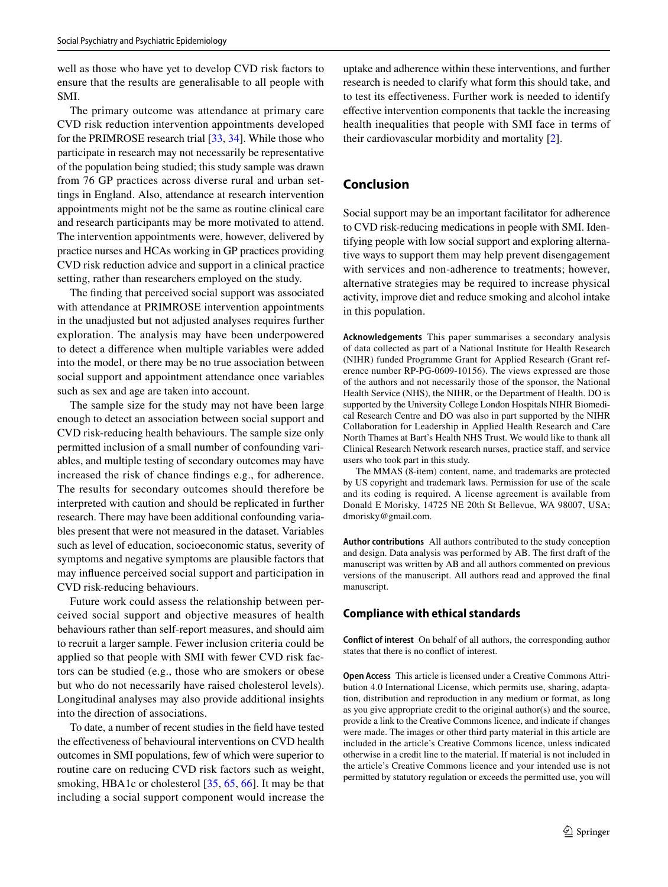well as those who have yet to develop CVD risk factors to ensure that the results are generalisable to all people with SMI.

The primary outcome was attendance at primary care CVD risk reduction intervention appointments developed for the PRIMROSE research trial [[33,](#page-9-31) [34\]](#page-9-32). While those who participate in research may not necessarily be representative of the population being studied; this study sample was drawn from 76 GP practices across diverse rural and urban settings in England. Also, attendance at research intervention appointments might not be the same as routine clinical care and research participants may be more motivated to attend. The intervention appointments were, however, delivered by practice nurses and HCAs working in GP practices providing CVD risk reduction advice and support in a clinical practice setting, rather than researchers employed on the study.

The fnding that perceived social support was associated with attendance at PRIMROSE intervention appointments in the unadjusted but not adjusted analyses requires further exploration. The analysis may have been underpowered to detect a diference when multiple variables were added into the model, or there may be no true association between social support and appointment attendance once variables such as sex and age are taken into account.

The sample size for the study may not have been large enough to detect an association between social support and CVD risk-reducing health behaviours. The sample size only permitted inclusion of a small number of confounding variables, and multiple testing of secondary outcomes may have increased the risk of chance fndings e.g., for adherence. The results for secondary outcomes should therefore be interpreted with caution and should be replicated in further research. There may have been additional confounding variables present that were not measured in the dataset. Variables such as level of education, socioeconomic status, severity of symptoms and negative symptoms are plausible factors that may infuence perceived social support and participation in CVD risk-reducing behaviours.

Future work could assess the relationship between perceived social support and objective measures of health behaviours rather than self-report measures, and should aim to recruit a larger sample. Fewer inclusion criteria could be applied so that people with SMI with fewer CVD risk factors can be studied (e.g., those who are smokers or obese but who do not necessarily have raised cholesterol levels). Longitudinal analyses may also provide additional insights into the direction of associations.

To date, a number of recent studies in the feld have tested the efectiveness of behavioural interventions on CVD health outcomes in SMI populations, few of which were superior to routine care on reducing CVD risk factors such as weight, smoking, HBA1c or cholesterol [[35,](#page-10-0) [65](#page-10-29), [66](#page-10-30)]. It may be that including a social support component would increase the uptake and adherence within these interventions, and further research is needed to clarify what form this should take, and to test its efectiveness. Further work is needed to identify efective intervention components that tackle the increasing health inequalities that people with SMI face in terms of their cardiovascular morbidity and mortality [[2\]](#page-9-1).

# **Conclusion**

Social support may be an important facilitator for adherence to CVD risk-reducing medications in people with SMI. Identifying people with low social support and exploring alternative ways to support them may help prevent disengagement with services and non-adherence to treatments; however, alternative strategies may be required to increase physical activity, improve diet and reduce smoking and alcohol intake in this population.

**Acknowledgements** This paper summarises a secondary analysis of data collected as part of a National Institute for Health Research (NIHR) funded Programme Grant for Applied Research (Grant reference number RP-PG-0609-10156). The views expressed are those of the authors and not necessarily those of the sponsor, the National Health Service (NHS), the NIHR, or the Department of Health. DO is supported by the University College London Hospitals NIHR Biomedical Research Centre and DO was also in part supported by the NIHR Collaboration for Leadership in Applied Health Research and Care North Thames at Bart's Health NHS Trust. We would like to thank all Clinical Research Network research nurses, practice staf, and service users who took part in this study.

The MMAS (8-item) content, name, and trademarks are protected by US copyright and trademark laws. Permission for use of the scale and its coding is required. A license agreement is available from Donald E Morisky, 14725 NE 20th St Bellevue, WA 98007, USA; dmorisky@gmail.com.

**Author contributions** All authors contributed to the study conception and design. Data analysis was performed by AB. The frst draft of the manuscript was written by AB and all authors commented on previous versions of the manuscript. All authors read and approved the fnal manuscript.

#### **Compliance with ethical standards**

**Conflict of interest** On behalf of all authors, the corresponding author states that there is no confict of interest.

**Open Access** This article is licensed under a Creative Commons Attribution 4.0 International License, which permits use, sharing, adaptation, distribution and reproduction in any medium or format, as long as you give appropriate credit to the original author(s) and the source, provide a link to the Creative Commons licence, and indicate if changes were made. The images or other third party material in this article are included in the article's Creative Commons licence, unless indicated otherwise in a credit line to the material. If material is not included in the article's Creative Commons licence and your intended use is not permitted by statutory regulation or exceeds the permitted use, you will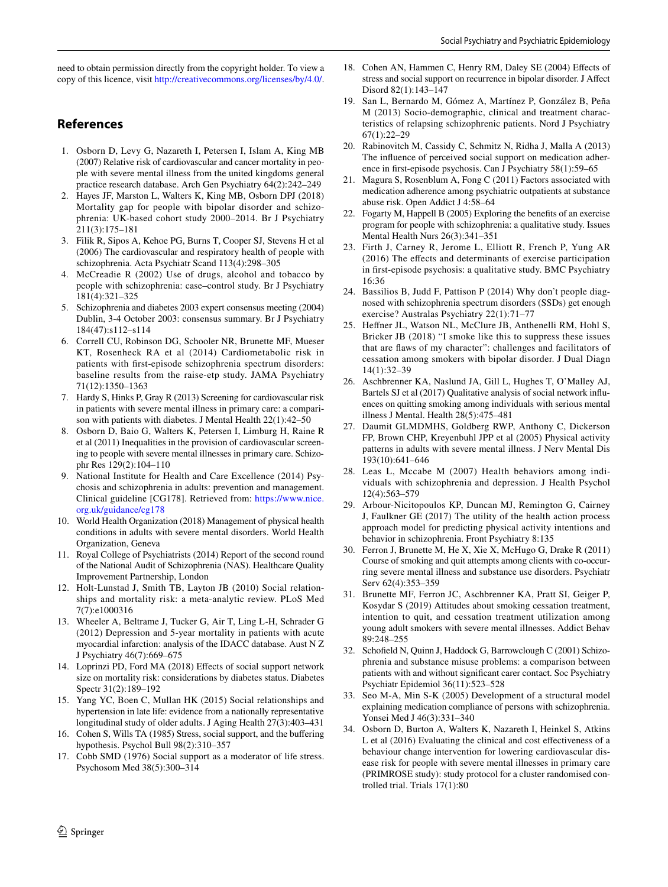need to obtain permission directly from the copyright holder. To view a copy of this licence, visit <http://creativecommons.org/licenses/by/4.0/>.

# **References**

- <span id="page-9-0"></span>1. Osborn D, Levy G, Nazareth I, Petersen I, Islam A, King MB (2007) Relative risk of cardiovascular and cancer mortality in people with severe mental illness from the united kingdoms general practice research database. Arch Gen Psychiatry 64(2):242–249
- <span id="page-9-1"></span>2. Hayes JF, Marston L, Walters K, King MB, Osborn DPJ (2018) Mortality gap for people with bipolar disorder and schizophrenia: UK-based cohort study 2000–2014. Br J Psychiatry 211(3):175–181
- <span id="page-9-2"></span>3. Filik R, Sipos A, Kehoe PG, Burns T, Cooper SJ, Stevens H et al (2006) The cardiovascular and respiratory health of people with schizophrenia. Acta Psychiatr Scand 113(4):298–305
- <span id="page-9-3"></span>4. McCreadie R (2002) Use of drugs, alcohol and tobacco by people with schizophrenia: case–control study. Br J Psychiatry 181(4):321–325
- <span id="page-9-4"></span>5. Schizophrenia and diabetes 2003 expert consensus meeting (2004) Dublin, 3-4 October 2003: consensus summary. Br J Psychiatry 184(47):s112–s114
- <span id="page-9-5"></span>6. Correll CU, Robinson DG, Schooler NR, Brunette MF, Mueser KT, Rosenheck RA et al (2014) Cardiometabolic risk in patients with frst-episode schizophrenia spectrum disorders: baseline results from the raise-etp study. JAMA Psychiatry 71(12):1350–1363
- <span id="page-9-6"></span>7. Hardy S, Hinks P, Gray R (2013) Screening for cardiovascular risk in patients with severe mental illness in primary care: a comparison with patients with diabetes. J Mental Health 22(1):42–50
- <span id="page-9-7"></span>8. Osborn D, Baio G, Walters K, Petersen I, Limburg H, Raine R et al (2011) Inequalities in the provision of cardiovascular screening to people with severe mental illnesses in primary care. Schizophr Res 129(2):104–110
- <span id="page-9-8"></span>9. National Institute for Health and Care Excellence (2014) Psychosis and schizophrenia in adults: prevention and management. Clinical guideline [CG178]. Retrieved from: [https://www.nice.](https://www.nice.org.uk/guidance/cg178) [org.uk/guidance/cg178](https://www.nice.org.uk/guidance/cg178)
- <span id="page-9-9"></span>10. World Health Organization (2018) Management of physical health conditions in adults with severe mental disorders. World Health Organization, Geneva
- <span id="page-9-10"></span>11. Royal College of Psychiatrists (2014) Report of the second round of the National Audit of Schizophrenia (NAS). Healthcare Quality Improvement Partnership, London
- <span id="page-9-11"></span>12. Holt-Lunstad J, Smith TB, Layton JB (2010) Social relationships and mortality risk: a meta-analytic review. PLoS Med 7(7):e1000316
- <span id="page-9-12"></span>13. Wheeler A, Beltrame J, Tucker G, Air T, Ling L-H, Schrader G (2012) Depression and 5-year mortality in patients with acute myocardial infarction: analysis of the IDACC database. Aust N Z J Psychiatry 46(7):669–675
- <span id="page-9-13"></span>14. Loprinzi PD, Ford MA (2018) Efects of social support network size on mortality risk: considerations by diabetes status. Diabetes Spectr 31(2):189–192
- <span id="page-9-14"></span>15. Yang YC, Boen C, Mullan HK (2015) Social relationships and hypertension in late life: evidence from a nationally representative longitudinal study of older adults. J Aging Health 27(3):403–431
- <span id="page-9-15"></span>16. Cohen S, Wills TA (1985) Stress, social support, and the buffering hypothesis. Psychol Bull 98(2):310–357
- <span id="page-9-16"></span>17. Cobb SMD (1976) Social support as a moderator of life stress. Psychosom Med 38(5):300–314
- <span id="page-9-17"></span>18. Cohen AN, Hammen C, Henry RM, Daley SE (2004) Efects of stress and social support on recurrence in bipolar disorder. J Afect Disord 82(1):143–147
- <span id="page-9-18"></span>19. San L, Bernardo M, Gómez A, Martínez P, González B, Peña M (2013) Socio-demographic, clinical and treatment characteristics of relapsing schizophrenic patients. Nord J Psychiatry 67(1):22–29
- <span id="page-9-19"></span>20. Rabinovitch M, Cassidy C, Schmitz N, Ridha J, Malla A (2013) The infuence of perceived social support on medication adherence in frst-episode psychosis. Can J Psychiatry 58(1):59–65
- <span id="page-9-20"></span>21. Magura S, Rosenblum A, Fong C (2011) Factors associated with medication adherence among psychiatric outpatients at substance abuse risk. Open Addict J 4:58–64
- <span id="page-9-21"></span>22. Fogarty M, Happell B (2005) Exploring the benefts of an exercise program for people with schizophrenia: a qualitative study. Issues Mental Health Nurs 26(3):341–351
- 23. Firth J, Carney R, Jerome L, Elliott R, French P, Yung AR (2016) The efects and determinants of exercise participation in frst-episode psychosis: a qualitative study. BMC Psychiatry 16:36
- <span id="page-9-22"></span>24. Bassilios B, Judd F, Pattison P (2014) Why don't people diagnosed with schizophrenia spectrum disorders (SSDs) get enough exercise? Australas Psychiatry 22(1):71–77
- <span id="page-9-23"></span>25. Hefner JL, Watson NL, McClure JB, Anthenelli RM, Hohl S, Bricker JB (2018) "I smoke like this to suppress these issues that are faws of my character": challenges and facilitators of cessation among smokers with bipolar disorder. J Dual Diagn 14(1):32–39
- <span id="page-9-24"></span>26. Aschbrenner KA, Naslund JA, Gill L, Hughes T, O'Malley AJ, Bartels SJ et al (2017) Qualitative analysis of social network infuences on quitting smoking among individuals with serious mental illness J Mental. Health 28(5):475–481
- <span id="page-9-25"></span>27. Daumit GLMDMHS, Goldberg RWP, Anthony C, Dickerson FP, Brown CHP, Kreyenbuhl JPP et al (2005) Physical activity patterns in adults with severe mental illness. J Nerv Mental Dis 193(10):641–646
- <span id="page-9-26"></span>28. Leas L, Mccabe M (2007) Health behaviors among individuals with schizophrenia and depression. J Health Psychol 12(4):563–579
- <span id="page-9-27"></span>29. Arbour-Nicitopoulos KP, Duncan MJ, Remington G, Cairney J, Faulkner GE (2017) The utility of the health action process approach model for predicting physical activity intentions and behavior in schizophrenia. Front Psychiatry 8:135
- <span id="page-9-28"></span>30. Ferron J, Brunette M, He X, Xie X, McHugo G, Drake R (2011) Course of smoking and quit attempts among clients with co-occurring severe mental illness and substance use disorders. Psychiatr Serv 62(4):353–359
- <span id="page-9-29"></span>31. Brunette MF, Ferron JC, Aschbrenner KA, Pratt SI, Geiger P, Kosydar S (2019) Attitudes about smoking cessation treatment, intention to quit, and cessation treatment utilization among young adult smokers with severe mental illnesses. Addict Behav 89:248–255
- <span id="page-9-30"></span>32. Schofeld N, Quinn J, Haddock G, Barrowclough C (2001) Schizophrenia and substance misuse problems: a comparison between patients with and without signifcant carer contact. Soc Psychiatry Psychiatr Epidemiol 36(11):523–528
- <span id="page-9-31"></span>33. Seo M-A, Min S-K (2005) Development of a structural model explaining medication compliance of persons with schizophrenia. Yonsei Med J 46(3):331–340
- <span id="page-9-32"></span>34. Osborn D, Burton A, Walters K, Nazareth I, Heinkel S, Atkins L et al (2016) Evaluating the clinical and cost efectiveness of a behaviour change intervention for lowering cardiovascular disease risk for people with severe mental illnesses in primary care (PRIMROSE study): study protocol for a cluster randomised controlled trial. Trials 17(1):80